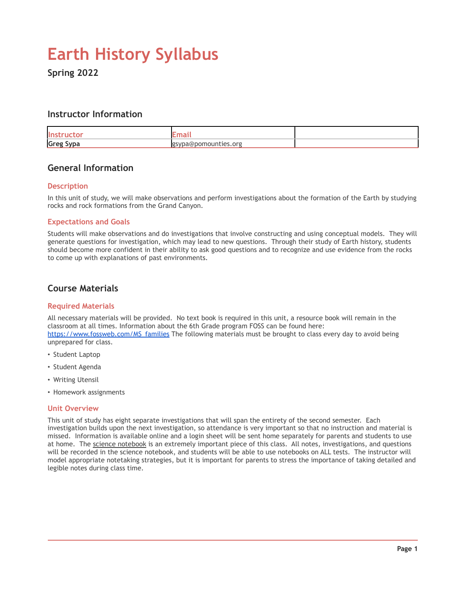# **Earth History Syllabus**

**Spring 2022**

# **Instructor Information**

| llr              |                         |  |
|------------------|-------------------------|--|
| <b>Greg Sypa</b> | /pa@pomounties.org<br>- |  |

# **General Information**

#### **Description**

In this unit of study, we will make observations and perform investigations about the formation of the Earth by studying rocks and rock formations from the Grand Canyon.

#### **Expectations and Goals**

Students will make observations and do investigations that involve constructing and using conceptual models. They will generate questions for investigation, which may lead to new questions. Through their study of Earth history, students should become more confident in their ability to ask good questions and to recognize and use evidence from the rocks to come up with explanations of past environments.

### **Course Materials**

#### **Required Materials**

All necessary materials will be provided. No text book is required in this unit, a resource book will remain in the classroom at all times. Information about the 6th Grade program FOSS can be found here: [https://www.fossweb.com/MS\\_families](https://www.fossweb.com/MS_families) The following materials must be brought to class every day to avoid being unprepared for class.

- Student Laptop
- Student Agenda
- Writing Utensil
- Homework assignments

#### **Unit Overview**

This unit of study has eight separate investigations that will span the entirety of the second semester. Each investigation builds upon the next investigation, so attendance is very important so that no instruction and material is missed. Information is available online and a login sheet will be sent home separately for parents and students to use at home. The science notebook is an extremely important piece of this class. All notes, investigations, and questions will be recorded in the science notebook, and students will be able to use notebooks on ALL tests. The instructor will model appropriate notetaking strategies, but it is important for parents to stress the importance of taking detailed and legible notes during class time.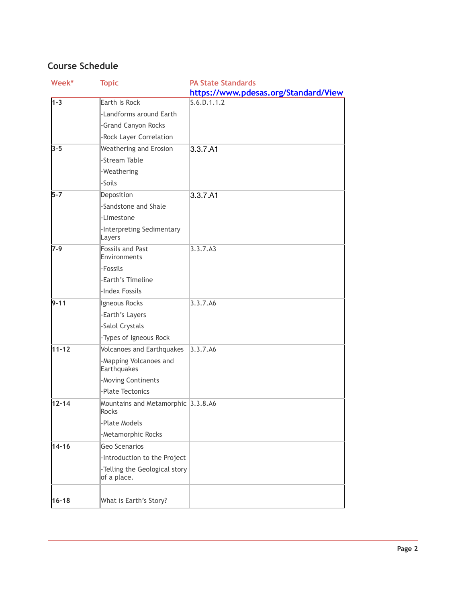# **Course Schedule**

| Week*     | <b>Topic</b>                                 | <b>PA State Standards</b>            |
|-----------|----------------------------------------------|--------------------------------------|
|           |                                              | https://www.pdesas.org/Standard/View |
| $1 - 3$   | Earth Is Rock                                | S.6.D.1.1.2                          |
|           | -Landforms around Earth                      |                                      |
|           | -Grand Canyon Rocks                          |                                      |
|           | -Rock Layer Correlation                      |                                      |
| $3 - 5$   | <b>Weathering and Erosion</b>                | 3.3.7.A1                             |
|           | -Stream Table                                |                                      |
|           | -Weathering                                  |                                      |
|           | -Soils                                       |                                      |
| $5-7$     | Deposition                                   | 3.3.7.A1                             |
|           | -Sandstone and Shale                         |                                      |
|           | -Limestone                                   |                                      |
|           | -Interpreting Sedimentary                    |                                      |
|           | Layers                                       |                                      |
| 7-9       | <b>Fossils and Past</b><br>Environments      | 3.3.7.A3                             |
|           | -Fossils                                     |                                      |
|           | -Earth's Timeline                            |                                      |
|           | -Index Fossils                               |                                      |
| $9 - 11$  | Igneous Rocks                                | 3.3.7.A6                             |
|           | -Earth's Layers                              |                                      |
|           | -Salol Crystals                              |                                      |
|           | -Types of Igneous Rock                       |                                      |
| 11-12     | <b>Volcanoes and Earthquakes</b>             | 3.3.7.A6                             |
|           | -Mapping Volcanoes and<br>Earthquakes        |                                      |
|           | -Moving Continents                           |                                      |
|           | -Plate Tectonics                             |                                      |
| $12 - 14$ | Mountains and Metamorphic 3.3.8.A6<br>Rocks  |                                      |
|           | -Plate Models                                |                                      |
|           | -Metamorphic Rocks                           |                                      |
| $14 - 16$ | Geo Scenarios                                |                                      |
|           | -Introduction to the Project                 |                                      |
|           | -Telling the Geological story<br>of a place. |                                      |
| $16 - 18$ | What is Earth's Story?                       |                                      |